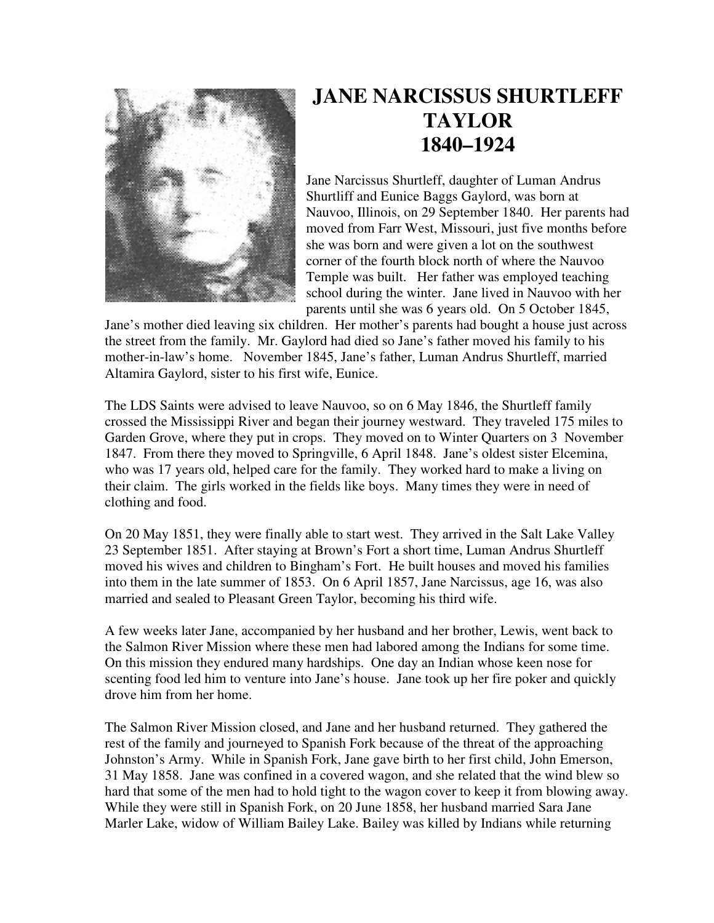

## **JANE NARCISSUS SHURTLEFF TAYLOR 1840–1924**

Jane Narcissus Shurtleff, daughter of Luman Andrus Shurtliff and Eunice Baggs Gaylord, was born at Nauvoo, Illinois, on 29 September 1840. Her parents had moved from Farr West, Missouri, just five months before she was born and were given a lot on the southwest corner of the fourth block north of where the Nauvoo Temple was built. Her father was employed teaching school during the winter. Jane lived in Nauvoo with her parents until she was 6 years old. On 5 October 1845,

Jane's mother died leaving six children. Her mother's parents had bought a house just across the street from the family. Mr. Gaylord had died so Jane's father moved his family to his mother-in-law's home. November 1845, Jane's father, Luman Andrus Shurtleff, married Altamira Gaylord, sister to his first wife, Eunice.

The LDS Saints were advised to leave Nauvoo, so on 6 May 1846, the Shurtleff family crossed the Mississippi River and began their journey westward. They traveled 175 miles to Garden Grove, where they put in crops. They moved on to Winter Quarters on 3 November 1847. From there they moved to Springville, 6 April 1848. Jane's oldest sister Elcemina, who was 17 years old, helped care for the family. They worked hard to make a living on their claim. The girls worked in the fields like boys. Many times they were in need of clothing and food.

On 20 May 1851, they were finally able to start west. They arrived in the Salt Lake Valley 23 September 1851. After staying at Brown's Fort a short time, Luman Andrus Shurtleff moved his wives and children to Bingham's Fort. He built houses and moved his families into them in the late summer of 1853. On 6 April 1857, Jane Narcissus, age 16, was also married and sealed to Pleasant Green Taylor, becoming his third wife.

A few weeks later Jane, accompanied by her husband and her brother, Lewis, went back to the Salmon River Mission where these men had labored among the Indians for some time. On this mission they endured many hardships. One day an Indian whose keen nose for scenting food led him to venture into Jane's house. Jane took up her fire poker and quickly drove him from her home.

The Salmon River Mission closed, and Jane and her husband returned. They gathered the rest of the family and journeyed to Spanish Fork because of the threat of the approaching Johnston's Army. While in Spanish Fork, Jane gave birth to her first child, John Emerson, 31 May 1858. Jane was confined in a covered wagon, and she related that the wind blew so hard that some of the men had to hold tight to the wagon cover to keep it from blowing away. While they were still in Spanish Fork, on 20 June 1858, her husband married Sara Jane Marler Lake, widow of William Bailey Lake. Bailey was killed by Indians while returning